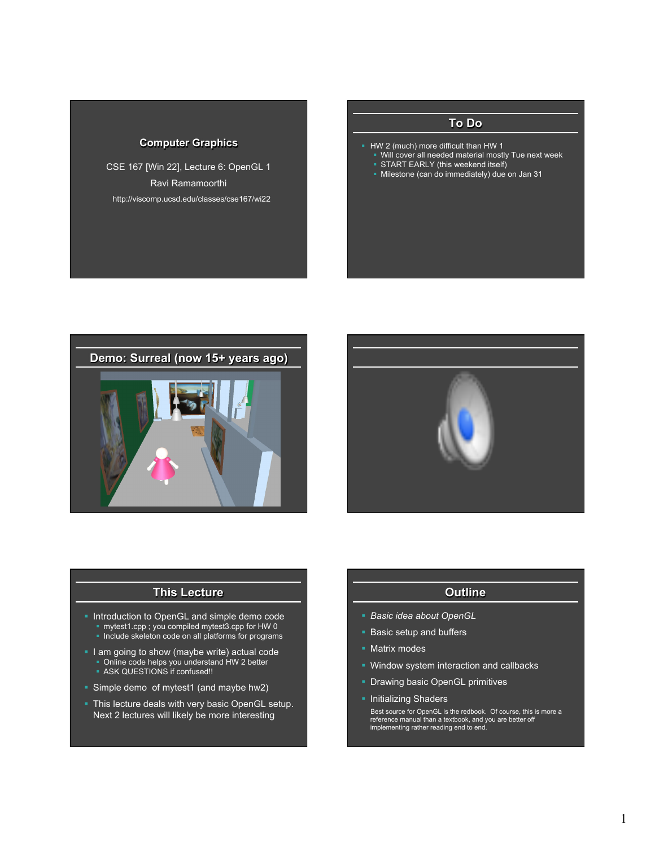# **Computer Graphics**

CSE 167 [Win 22], Lecture 6: OpenGL 1 Ravi Ramamoorthi http://viscomp.ucsd.edu/classes/cse167/wi22

# **To Do**

- § HW 2 (much) more difficult than HW 1
	- Will cover all needed material mostly Tue next week
	- **START EARLY (this weekend itself)**
	- § Milestone (can do immediately) due on Jan 31





## **This Lecture**

- § Introduction to OpenGL and simple demo code § mytest1.cpp ; you compiled mytest3.cpp for HW 0 • Include skeleton code on all platforms for programs
- **I** am going to show (maybe write) actual code • Online code helps you understand HW 2 better • ASK QUESTIONS if confused!!
- § Simple demo of mytest1 (and maybe hw2)
- **This lecture deals with very basic OpenGL setup.** Next 2 lectures will likely be more interesting

# **Outline**

- § *Basic idea about OpenGL*
- **Basic setup and buffers**
- Matrix modes
- § Window system interaction and callbacks
- **Drawing basic OpenGL primitives**
- **Initializing Shaders**

 Best source for OpenGL is the redbook. Of course, this is more a reference manual than a textbook, and you are better off implementing rather reading end to end.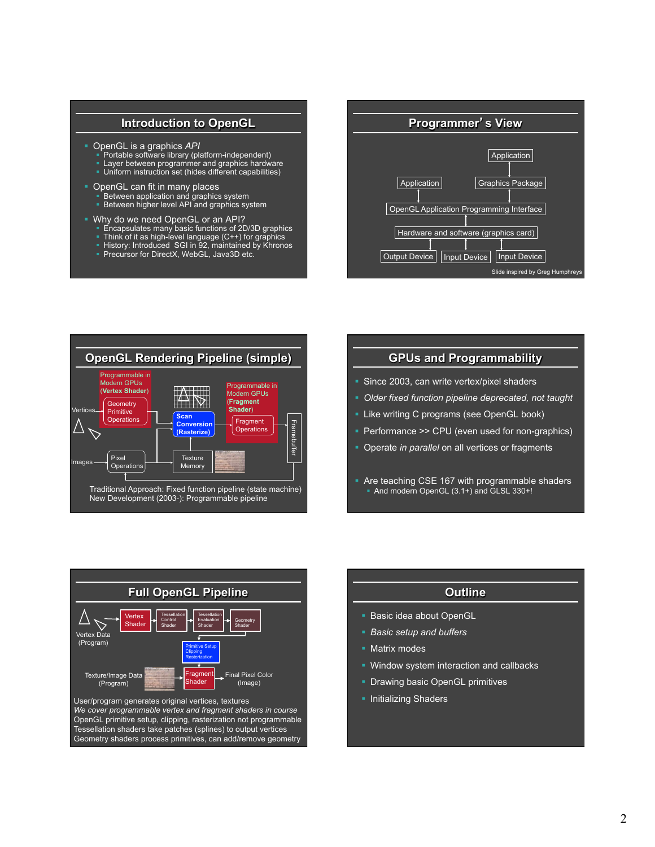# **Introduction to OpenGL**

- § OpenGL is a graphics *API*
	- Portable software library (platform-independent)
	- **Layer between programmer and graphics hardware** Uniform instruction set (hides different capabilities)
- **OpenGL can fit in many places** 
	-
	- Between application and graphics system<br>■ Between higher level API and graphics system
- § Why do we need OpenGL or an API?
	- § Encapsulates many basic functions of 2D/3D graphics
	- Think of it as high-level language (C++) for graphics
	- § History: Introduced SGI in 92, maintained by Khronos
	- § Precursor for DirectX, WebGL, Java3D etc.





# **GPUs and Programmability**

- Since 2003, can write vertex/pixel shaders
- § *Older fixed function pipeline deprecated, not taught*
- **E** Like writing C programs (see OpenGL book)
- Performance >> CPU (even used for non-graphics)
- § Operate *in parallel* on all vertices or fragments
- Are teaching CSE 167 with programmable shaders • And modern OpenGL (3.1+) and GLSL 330+!



| Outline         |
|-----------------|
| ea about OpenGL |
| tup and buffers |
| odes            |

- § Window system interaction and callbacks
- **Drawing basic OpenGL primitives**
- **Initializing Shaders**

■ Basic ide § *Basic setup and buffers*   $\blacksquare$  Matrix m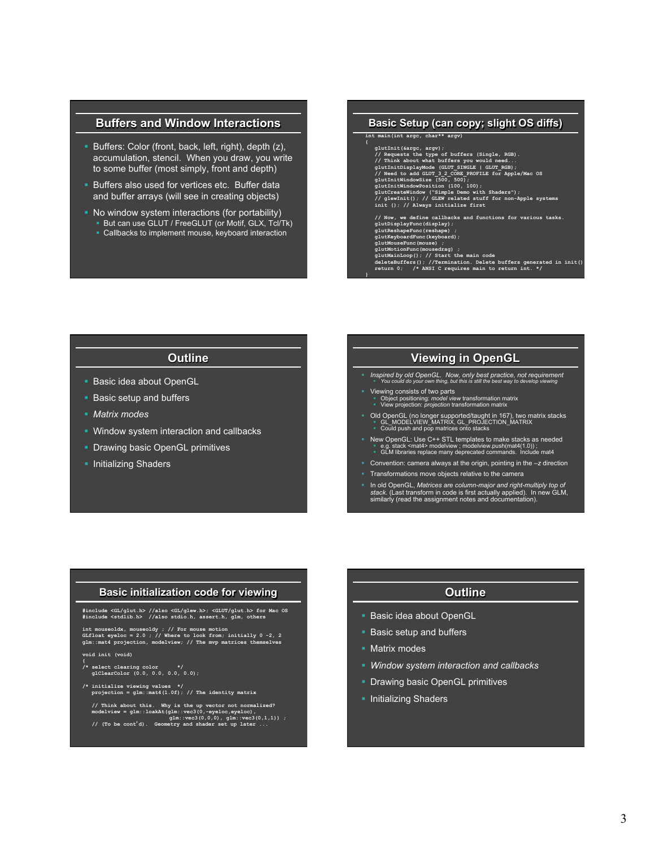# **Buffers and Window Interactions**

- § Buffers: Color (front, back, left, right), depth (z), accumulation, stencil. When you draw, you write to some buffer (most simply, front and depth)
- **Buffers also used for vertices etc. Buffer data** and buffer arrays (will see in creating objects)
- § No window system interactions (for portability) § But can use GLUT / FreeGLUT (or Motif, GLX, Tcl/Tk)
	- § Callbacks to implement mouse, keyboard interaction

# **Basic Setup (can copy; slight OS diffs) int main(int argc, char\*\* argv)**  glutIni(iargo, argy);<br>
// Requests the type of buffers (Single, RGB).<br>
// Think about what buffers you would need...<br>
glutInitDisplayMode (GUUT\_3INGE | GUUT\_RGB);<br>
// Need to add GUUT\_3\_2\_CORE\_PROFILE for Apple/Mac OS<br>
glu  **// Now, we define callbacks and functions for various tasks. glutDisplayFunc(display);**  glutReshapeFunc(reshape) ;<br>glutReyboardFunc(Reyboard);<br>glutMouseFunc(mouse) ;<br>glutMouseFunc(mouse) ;<br>glutMoisonTunc(mousedIze) ;<br>glutMoinLop(); // Start the main code<br>deletBuffers(); //Termination. Delete buffers generated

# **Outline**

- **Basic idea about OpenGL**
- Basic setup and buffers
- § *Matrix modes*
- Window system interaction and callbacks
- **Drawing basic OpenGL primitives**
- Initializing Shaders

# **Viewing in OpenGL**

- § *Inspired by old OpenGL. Now, only best practice, not requirement*  § *You could do your own thing, but this is still the best way to develop viewing*
- § Viewing consists of two parts § Object positioning: *model view* transformation matrix § View projection: *projection* transformation matrix

**}** 

- Old OpenGL (no longer supported/taught in 167), two matrix stacks<br>■ GL\_MODELVIEW\_MATRIX, GL\_PROJECTION\_MATRIX<br>■ Could push and pop matrices onto stacks
- New OpenGL: Use C++ STL templates to make stacks as needed<br>
Ⅰ e.g. stack <mat4> modelview ; modelview.push(mat4(1.0)) ;<br>
 GLM libraries replace many deprecated commands. Include mat4
- § Convention: camera always at the origin, pointing in the –*z* direction
- § Transformations move objects relative to the camera
- § In old OpenGL, *Matrices are column-major and right-multiply top of stack*. (Last transform in code is first actually applied). In new GLM, similarly (read the assignment notes and documentation).

### **Basic initialization code for viewing**

**#include <GL/glut.h> //also <GL/glew.h>; <GLUT/glut.h> for Mac OS #include <stdlib.h> //also stdio.h, assert.h, glm, others** 

**int mouseoldx, mouseoldy ; // For mouse motion GLfloat eyeloc = 2.0 ; // Where to look from; initially 0 -2, 2 glm::mat4 projection, modelview; // The mvp matrices themselves** 

**void init (void)** 

- **{ /\* select clearing color \*/ glClearColor (0.0, 0.0, 0.0, 0.0);**
- **/\* initialize viewing values \*/ projection = glm::mat4(1.0f); // The identity matrix**
- // Think about this. Why is the up vector not normalized?<br>modelview = glm::loakAt(glm::vec3(0,-gyeloc,eyeloc),<br> $\int$ // (To be cont'd). Geometry and shader set up later ...

# **Outline**

- **Basic idea about OpenGL**
- Basic setup and buffers
- Matrix modes
- § *Window system interaction and callbacks*
- **Drawing basic OpenGL primitives**
- **Initializing Shaders**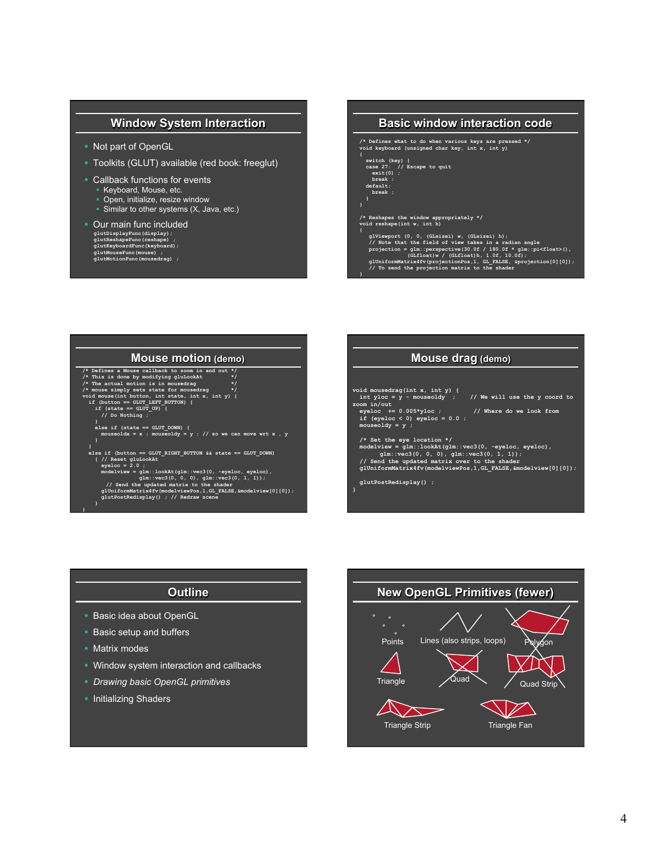# **Window System Interaction**

- § Not part of OpenGL
- § Toolkits (GLUT) available (red book: freeglut)
- Callback functions for events
	- § Keyboard, Mouse, etc.
	- Open, initialize, resize window
	- Similar to other systems (X, Java, etc.)
- Our main func included **glutDisplayFunc(display); glutReshapeFunc(reshape) ; glutKeyboardFunc(keyboard); glutMouseFunc(mouse) ; glutMotionFunc(mousedrag) ;**

# **Basic window interaction code /\* Defines what to do when various keys are pressed \*/ void keyboard (unsigned char key, int x, int y) { switch (key) { case 27: // Escape to quit exit(0) ; break ; default: break ; } /\* Reshapes the window appropriately \*/ void reshape(int w, int h) {**  glViewport  $(0, 0, (GListzei) w, (GListzei) h)$ ;<br>
// Note that the field of view takes in a radian angle<br>
projection = glm: perspective  $(30.0f / 180.0f * glm:pi\timesfloat)$ ,<br>  $(GLfloat)w / (GLfloat)h, 1.0f, 10.0f)$ ;<br>
glUniformMatrix4fv(projectionPos, 1, G

**}** 

# **Mouse motion (demo)**

/\* Defines a Mouse callback to zoom in and out \*/<br>  $\ell$ \* Defines a Mouse callback to zoom in and out \*/<br>  $\ell$ \* This is done by modifying gluLook<br>
\*/\* The actual motion is in mousedrag<br>
\*/\* mouse imply sets state for mouse  **else if (state == GLUT\_DOWN) { mouseoldx = x ; mouseoldy = y ; // so we can move wrt x , y } } else if (button == GLUT\_RIGHT\_BUTTON && state == GLUT\_DOWN) { // Reset gluLookAt eyeloc = 2.0 ;**  modelview = glm::lookAt(glm::vec3(0, -eyeloc, eyeloc),<br>
// Send the updated matrix to the shader<br>
(1, 1, 1);<br>
(1, 1);<br>
glUniformMatrix4fv(modelviewPos,1, GL\_FALSE, fmodelview[0][0]);<br>
glutPostRedisplay() ; // Redraw scene



# **Outline**

- **Basic idea about OpenGL**
- Basic setup and buffers
- § Matrix modes

**}** 

- § Window system interaction and callbacks
- § *Drawing basic OpenGL primitives*
- Initializing Shaders

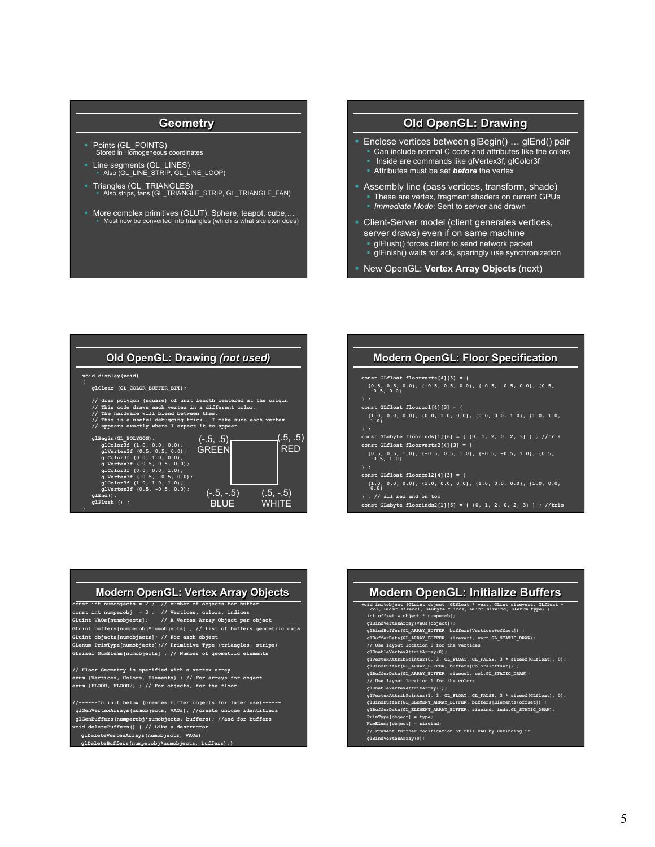# **Geometry**

- § Points (GL\_POINTS) Stored in Homogeneous coordinates
- § Line segments (GL\_LINES) § Also (GL\_LINE\_STRIP, GL\_LINE\_LOOP)
- § Triangles (GL\_TRIANGLES) § Also strips, fans (GL\_TRIANGLE\_STRIP, GL\_TRIANGLE\_FAN)
- § More complex primitives (GLUT): Sphere, teapot, cube,… § Must now be converted into triangles (which is what skeleton does)

# **Old OpenGL: Drawing**

- § Enclose vertices between glBegin() … glEnd() pair Can include normal C code and attributes like the colors
	- Inside are commands like glVertex3f, glColor3f
	- **Example 3** Attributes must be set *before* the vertex
- § Assembly line (pass vertices, transform, shade)
	- § These are vertex, fragment shaders on current GPUs
	- § *Immediate Mode*: Sent to server and drawn
- § Client-Server model (client generates vertices, server draws) even if on same machine
	- § glFlush() forces client to send network packet
	- § glFinish() waits for ack, sparingly use synchronization
- § New OpenGL: **Vertex Array Objects** (next)

#### **Old OpenGL: Drawing** *(not used)*  **void display(void) { glClear (GL\_COLOR\_BUFFER\_BIT);**  // draw polygon (square) of unit length centered at the origin<br>// This code draws each vertex in a different color.<br>// The hardware will blend between them.<br>// The is a useful debugging trick. I make sure each vertex<br>// ap glBegin (GL\_POLYGON)<br>glColor3f (1.0, 0.0, 0.0);<br>glColor3f (0.5, 0.5, 0.0);<br>glColor3f (0.0, 1.0, 0.0);<br>glColor3f (0.0, 1.0, 0.0);<br>glColor3f (0.0, 0.0, 1.0);<br>glColor3f (0.0, 0.0, 1.0);<br>glVertex3f (0.5, -0.5, 0.0);<br>glVertex3f  **glEnd(); glFlush () ; }**   $(-.5, -.5)$ **BLUE**  $(.5, -.5)$ **WHITE**  $(.5, .5)$ RED  $(-.5, .5)$ **GREEN**

# **Modern OpenGL: Floor Specification const GLfloat floorverts[4][3] = {**   $\{0.5, 0.5, 0.0\}$ ,  $\{-0.5, 0.0\}$ ,  $\{-0.5, 0.0\}$ ,  $\{-0.5, -0.5, 0.0\}$ ,  $\{0.5, -0.5, 0.0\}$ **} ; const GLfloat floorcol[4][3] = { {1.0, 0.0, 0.0}, {0.0, 1.0, 0.0}, {0.0, 0.0, 1.0}, {1.0, 1.0, 1.0} } ; const GLubyte floorinds[1][6] = { {0, 1, 2, 0, 2, 3} } ; //tris const GLfloat floorverts2[4][3] = {**   $\{0.5, 0.5, 1.0\}$ ,  $\{-0.5, 0.5, 1.0\}$ ,  $\{-0.5, -0.5, 1.0\}$ ,  $\{0.5, -0.5, 1.0\}$

**}** 

**const GLfloat floorcol2[4][3] = { {1.0, 0.0, 0.0}, {1.0, 0.0, 0.0}, {1.0, 0.0, 0.0}, {1.0, 0.0, 0.0}** 

#### **} ; // all red and on top**

**const GLubyte floorinds2[1][6] = { {0, 1, 2, 0, 2, 3} } ; //tris** 

#### **Modern OpenGL: Initialize Buffers void initobject (GLuint object, GLfloat \* vert, GLint sizevert, GLfloat \* col, GLint sizecol, GLubyte \* inds, GLint sizeind, GLenum type) { int offset = object \* numperobj; glBindVertexArray(VAOs[object]); glBindBuffer(GL\_ARRAY\_BUFFER, buffers[Vertices+offset]) ; glBufferData(GL\_ARRAY\_BUFFER, sizevert, vert,GL\_STATIC\_DRAW); // Use layout location 0 for the vertices glEnableVertexAttribArray(0); glVertexAttribPointer(0, 3, GL\_FLOAT, GL\_FALSE, 3 \* sizeof(GLfloat), 0); glBindBuffer(GL\_ARRAY\_BUFFER, buffers[Colors+offset]) ; glBufferData(GL\_ARRAY\_BUFFER, sizecol, col,GL\_STATIC\_DRAW); // Use layout location 1 for the colors glEnableVertexAttribArray(1); glVertexAttribPointer(1, 3, GL\_FLOAT, GL\_FALSE, 3 \* sizeof(GLfloat), 0); glBindBuffer(GL\_ELEMENT\_ARRAY\_BUFFER, buffers[Elements+offset]) ; glBufferData(GL\_ELEMENT\_ARRAY\_BUFFER, sizeind, inds,GL\_STATIC\_DRAW); PrimType[object] = type; NumElems[object] = sizeind; // Prevent further modification of this VAO by unbinding it glBindVertexArray(0);**

### **Modern OpenGL: Vertex Array Objects**

- **const int numobjects = 2 ; // number of objects for buffer**
- **const int numperobj = 3 ; // Vertices, colors, indices GLuint VAOs[numobjects]; // A Vertex Array Object per object**
- **GLuint buffers[numperobj\*numobjects] ; // List of buffers geometric data**
- **GLuint objects[numobjects]; // For each object**
- **GLenum PrimType[numobjects];// Primitive Type (triangles, strips) GLsizei NumElems[numobjects] ; // Number of geometric elements**
- **// Floor Geometry is specified with a vertex array enum {Vertices, Colors, Elements} ; // For arrays for object**
- **enum {FLOOR, FLOOR2} ; // For objects, for the floor**
- **//------In init below (creates buffer objects for later use)----- glGenVertexArrays(numobjects, VAOs); //create unique identifiers glGenBuffers(numperobj\*numobjects, buffers); //and for buffers**
- **void deleteBuffers() { // Like a destructor**
- **glDeleteVertexArrays(numobjects, VAOs); glDeleteBuffers(numperobj\*numobjects, buffers);}**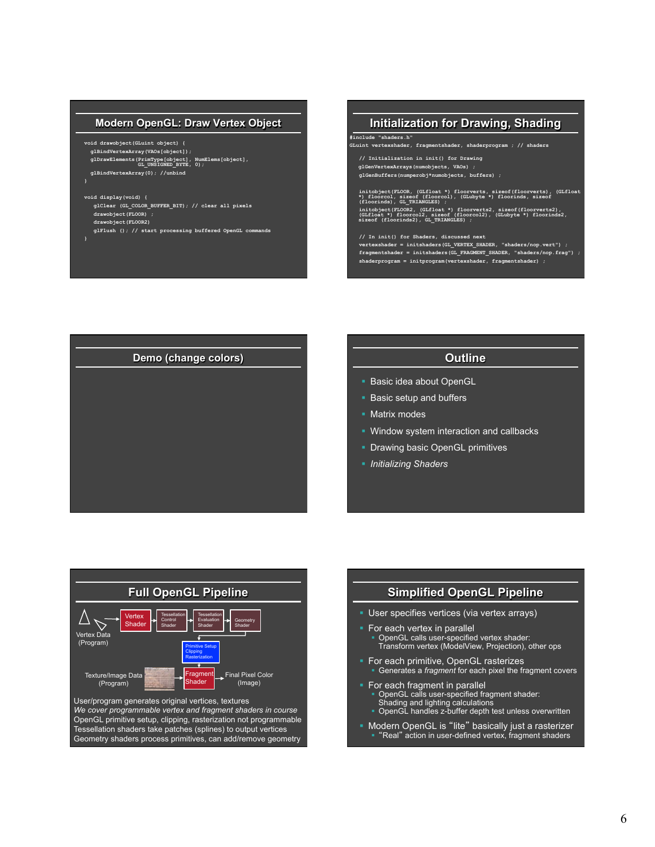## **Modern OpenGL: Draw Vertex Object**

**void drawobject(GLuint object) { glBindVertexArray(VAOs[object]); glDrawElements(PrimType[object], NumElems[object],**  $GL$ UNSIGNED\_BYTE, 0);  **glBindVertexArray(0); //unbind** 

- **void display(void) {**
- **glClear (GL\_COLOR\_BUFFER\_BIT); // clear all pixels drawobject(FLOOR) ; drawobject(FLOOR2)**
- **glFlush (); // start processing buffered OpenGL commands**
- **}**

**}** 

# **Initialization for Drawing, Shading**

**GLuint vertexshader, fragmentshader, shaderprogram ; // shaders** 

 **// Initialization in init() for Drawing glGenVertexArrays(numobjects, VAOs) ; glGenBuffers(numperobj\*numobjects, buffers) ;** 

**#include "shaders.h"** 

 **initobject(FLOOR, (GLfloat \*) floorverts, sizeof(floorverts), (GLfloat \*) floorcol, sizeof (floorcol), (GLubyte \*) floorinds, sizeof (floorinds), GL\_TRIANGLES) ;**  initobject(FLOOR2, (GLfloat \*) floorverts2, sizeof(floorverts2), (GLiloat \*) floorcol2), sizeof(floorcol2), sizeof (floorcol2), sizeof (floorcol2), sizeof (floorcol2), GLubyte \*) floorinds2,

 **// In init() for Shaders, discussed next vertexshader = initshaders(GL\_VERTEX\_SHADER, "shaders/nop.vert") ; fragmentshader = initshaders(GL\_FRAGMENT\_SHADER, "shaders/nop.frag") ; shaderprogram = initprogram(vertexshader, fragmentshader) ;**



- **Basic idea about OpenGL**
- **Basic setup and buffers**
- Matrix modes
- Window system interaction and callbacks
- **Drawing basic OpenGL primitives**
- § *Initializing Shaders*